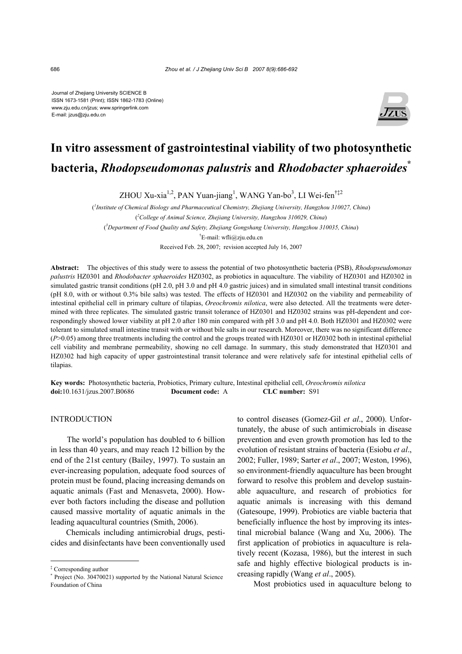Journal of Zhejiang University SCIENCE B ISSN 1673-1581 (Print); ISSN 1862-1783 (Online) www.zju.edu.cn/jzus; www.springerlink.com E-mail: jzus@zju.edu.cn



# **In vitro assessment of gastrointestinal viability of two photosynthetic bacteria,** *Rhodopseudomonas palustris* **and** *Rhodobacter sphaeroides***\***

ZHOU Xu-xia<sup>1,2</sup>, PAN Yuan-jiang<sup>1</sup>, WANG Yan-bo<sup>3</sup>, LI Wei-fen<sup>†‡2</sup>

( *1 Institute of Chemical Biology and Pharmaceutical Chemistry, Zhejiang University, Hangzhou 310027, China*) ( *2 College of Animal Science, Zhejiang University, Hangzhou 310029, China*) ( *3 Department of Food Quality and Safety, Zhejiang Gongshang University, Hangzhou 310035, China*) † E-mail: wfli@zju.edu.cn Received Feb. 28, 2007; revision accepted July 16, 2007

**Abstract:** The objectives of this study were to assess the potential of two photosynthetic bacteria (PSB), *Rhodopseudomonas palustris* HZ0301 and *Rhodobacter sphaeroides* HZ0302, as probiotics in aquaculture. The viability of HZ0301 and HZ0302 in simulated gastric transit conditions (pH 2.0, pH 3.0 and pH 4.0 gastric juices) and in simulated small intestinal transit conditions (pH 8.0, with or without 0.3% bile salts) was tested. The effects of HZ0301 and HZ0302 on the viability and permeability of intestinal epithelial cell in primary culture of tilapias, *Oreochromis nilotica*, were also detected. All the treatments were determined with three replicates. The simulated gastric transit tolerance of HZ0301 and HZ0302 strains was pH-dependent and correspondingly showed lower viability at pH 2.0 after 180 min compared with pH 3.0 and pH 4.0. Both HZ0301 and HZ0302 were tolerant to simulated small intestine transit with or without bile salts in our research. Moreover, there was no significant difference (*P*>0.05) among three treatments including the control and the groups treated with HZ0301 or HZ0302 both in intestinal epithelial cell viability and membrane permeability, showing no cell damage. In summary, this study demonstrated that HZ0301 and HZ0302 had high capacity of upper gastrointestinal transit tolerance and were relatively safe for intestinal epithelial cells of tilapias.

**Key words:** Photosynthetic bacteria, Probiotics, Primary culture, Intestinal epithelial cell, *Oreochromis nilotica* **doi:**10.1631/jzus.2007.B0686 **Document code:** A **CLC number:** S91

# INTRODUCTION

The world's population has doubled to 6 billion in less than 40 years, and may reach 12 billion by the end of the 21st century (Bailey, 1997). To sustain an ever-increasing population, adequate food sources of protein must be found, placing increasing demands on aquatic animals (Fast and Menasveta, 2000). However both factors including the disease and pollution caused massive mortality of aquatic animals in the leading aquacultural countries (Smith, 2006).

Chemicals including antimicrobial drugs, pesticides and disinfectants have been conventionally used to control diseases (Gomez-Gil *et al*., 2000). Unfortunately, the abuse of such antimicrobials in disease prevention and even growth promotion has led to the evolution of resistant strains of bacteria (Esiobu *et al*., 2002; Fuller, 1989; Sarter *et al*., 2007; Weston, 1996), so environment-friendly aquaculture has been brought forward to resolve this problem and develop sustainable aquaculture, and research of probiotics for aquatic animals is increasing with this demand (Gatesoupe, 1999). Probiotics are viable bacteria that beneficially influence the host by improving its intestinal microbial balance (Wang and Xu, 2006). The first application of probiotics in aquaculture is relatively recent (Kozasa, 1986), but the interest in such safe and highly effective biological products is increasing rapidly (Wang *et al*., 2005).

Most probiotics used in aquaculture belong to

<sup>‡</sup> Corresponding author

<sup>\*</sup> Project (No. 30470021) supported by the National Natural Science Foundation of China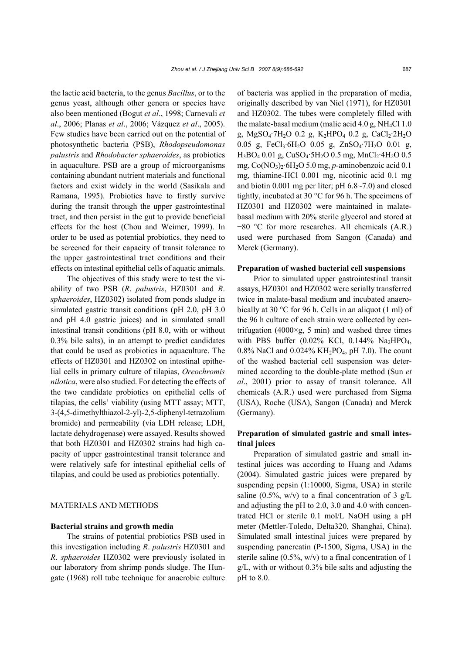the lactic acid bacteria, to the genus *Bacillus*, or to the genus yeast, although other genera or species have also been mentioned (Bogut *et al*., 1998; Carnevali *et al*., 2006; Planas *et al*., 2006; Vázquez *et al*., 2005). Few studies have been carried out on the potential of photosynthetic bacteria (PSB), *Rhodopseudomonas palustris* and *Rhodobacter sphaeroides*, as probiotics in aquaculture. PSB are a group of microorganisms containing abundant nutrient materials and functional factors and exist widely in the world (Sasikala and Ramana, 1995). Probiotics have to firstly survive during the transit through the upper gastrointestinal tract, and then persist in the gut to provide beneficial effects for the host (Chou and Weimer, 1999). In order to be used as potential probiotics, they need to be screened for their capacity of transit tolerance to the upper gastrointestinal tract conditions and their effects on intestinal epithelial cells of aquatic animals.

The objectives of this study were to test the viability of two PSB (*R*. *palustris*, HZ0301 and *R*. *sphaeroides*, HZ0302) isolated from ponds sludge in simulated gastric transit conditions (pH 2.0, pH 3.0 and pH 4.0 gastric juices) and in simulated small intestinal transit conditions (pH 8.0, with or without 0.3% bile salts), in an attempt to predict candidates that could be used as probiotics in aquaculture. The effects of HZ0301 and HZ0302 on intestinal epithelial cells in primary culture of tilapias, *Oreochromis nilotica*, were also studied. For detecting the effects of the two candidate probiotics on epithelial cells of tilapias, the cells' viability (using MTT assay; MTT, 3-(4,5-dimethylthiazol-2-yl)-2,5-diphenyl-tetrazolium bromide) and permeability (via LDH release; LDH, lactate dehydrogenase) were assayed. Results showed that both HZ0301 and HZ0302 strains had high capacity of upper gastrointestinal transit tolerance and were relatively safe for intestinal epithelial cells of tilapias, and could be used as probiotics potentially.

# MATERIALS AND METHODS

#### **Bacterial strains and growth media**

The strains of potential probiotics PSB used in this investigation including *R*. *palustris* HZ0301 and *R*. *sphaeroides* HZ0302 were previously isolated in our laboratory from shrimp ponds sludge. The Hungate (1968) roll tube technique for anaerobic culture of bacteria was applied in the preparation of media, originally described by van Niel (1971), for HZ0301 and HZ0302. The tubes were completely filled with the malate-basal medium (malic acid  $4.0$  g, NH<sub>4</sub>Cl 1.0 g, MgSO<sub>4</sub>·7H<sub>2</sub>O 0.2 g, K<sub>2</sub>HPO<sub>4</sub> 0.2 g, CaCl<sub>2</sub>·2H<sub>2</sub>O 0.05 g, FeCl<sub>3</sub>·6H<sub>2</sub>O 0.05 g, ZnSO<sub>4</sub>·7H<sub>2</sub>O 0.01 g,  $H_3BO_4$  0.01 g,  $CuSO_4$ ·5 $H_2O$  0.5 mg,  $MnCl_2$ ·4 $H_2O$  0.5 mg, Co(NO3)2·6H2O 5.0 mg, *p*-aminobenzoic acid 0.1 mg, thiamine-HCl 0.001 mg, nicotinic acid 0.1 mg and biotin 0.001 mg per liter; pH 6.8~7.0) and closed tightly, incubated at 30 °C for 96 h. The specimens of HZ0301 and HZ0302 were maintained in malatebasal medium with 20% sterile glycerol and stored at −80 °C for more researches. All chemicals (A.R.) used were purchased from Sangon (Canada) and Merck (Germany).

#### **Preparation of washed bacterial cell suspensions**

Prior to simulated upper gastrointestinal transit assays, HZ0301 and HZ0302 were serially transferred twice in malate-basal medium and incubated anaerobically at 30 °C for 96 h. Cells in an aliquot (1 ml) of the 96 h culture of each strain were collected by centrifugation (4000 $\times$ g, 5 min) and washed three times with PBS buffer  $(0.02\% \text{ KCl}, 0.144\% \text{ Na}_2\text{HPO}_4,$ 0.8% NaCl and 0.024%  $KH_2PO_4$ , pH 7.0). The count of the washed bacterial cell suspension was determined according to the double-plate method (Sun *et al*., 2001) prior to assay of transit tolerance. All chemicals (A.R.) used were purchased from Sigma (USA), Roche (USA), Sangon (Canada) and Merck (Germany).

# **Preparation of simulated gastric and small intestinal juices**

Preparation of simulated gastric and small intestinal juices was according to Huang and Adams (2004). Simulated gastric juices were prepared by suspending pepsin (1:10000, Sigma, USA) in sterile saline (0.5%, w/v) to a final concentration of 3  $g/L$ and adjusting the pH to 2.0, 3.0 and 4.0 with concentrated HCl or sterile 0.1 mol/L NaOH using a pH meter (Mettler-Toledo, Delta320, Shanghai, China). Simulated small intestinal juices were prepared by suspending pancreatin (P-1500, Sigma, USA) in the sterile saline (0.5%, w/v) to a final concentration of 1 g/L, with or without 0.3% bile salts and adjusting the pH to 8.0.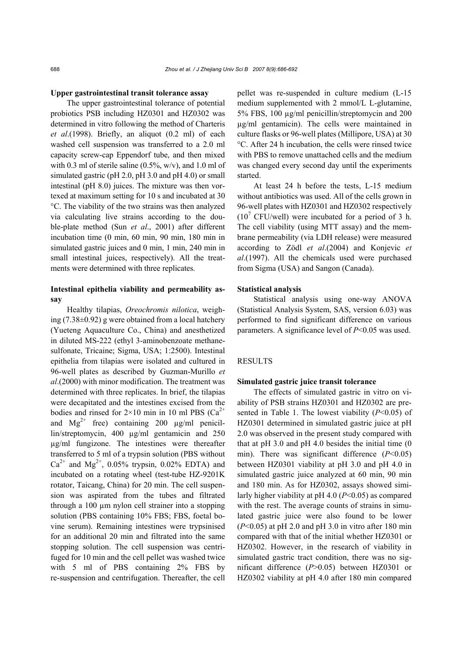#### **Upper gastrointestinal transit tolerance assay**

The upper gastrointestinal tolerance of potential probiotics PSB including HZ0301 and HZ0302 was determined in vitro following the method of Charteris *et al*.(1998). Briefly, an aliquot (0.2 ml) of each washed cell suspension was transferred to a 2.0 ml capacity screw-cap Eppendorf tube, and then mixed with 0.3 ml of sterile saline  $(0.5\%, w/v)$ , and 1.0 ml of simulated gastric (pH 2.0, pH 3.0 and pH 4.0) or small intestinal (pH 8.0) juices. The mixture was then vortexed at maximum setting for 10 s and incubated at 30 °C. The viability of the two strains was then analyzed via calculating live strains according to the double-plate method (Sun *et al*., 2001) after different incubation time (0 min, 60 min, 90 min, 180 min in simulated gastric juices and 0 min, 1 min, 240 min in small intestinal juices, respectively). All the treatments were determined with three replicates.

# **Intestinal epithelia viability and permeability assay**

Healthy tilapias, *Oreochromis nilotica*, weighing (7.38±0.92) g were obtained from a local hatchery (Yueteng Aquaculture Co., China) and anesthetized in diluted MS-222 (ethyl 3-aminobenzoate methanesulfonate, Tricaine; Sigma, USA; 1:2500). Intestinal epithelia from tilapias were isolated and cultured in 96-well plates as described by Guzman-Murillo *et al*.(2000) with minor modification. The treatment was determined with three replicates. In brief, the tilapias were decapitated and the intestines excised from the bodies and rinsed for  $2\times10$  min in 10 ml PBS (Ca<sup>2+</sup> and  $Mg^{2+}$  free) containing 200  $\mu$ g/ml penicillin/streptomycin, 400 µg/ml gentamicin and 250 µg/ml fungizone. The intestines were thereafter transferred to 5 ml of a trypsin solution (PBS without  $Ca^{2+}$  and Mg<sup>2+</sup>, 0.05% trypsin, 0.02% EDTA) and incubated on a rotating wheel (test-tube HZ-9201K rotator, Taicang, China) for 20 min. The cell suspension was aspirated from the tubes and filtrated through a 100 µm nylon cell strainer into a stopping solution (PBS containing 10% FBS; FBS, foetal bovine serum). Remaining intestines were trypsinised for an additional 20 min and filtrated into the same stopping solution. The cell suspension was centrifuged for 10 min and the cell pellet was washed twice with 5 ml of PBS containing 2% FBS by re-suspension and centrifugation. Thereafter, the cell

pellet was re-suspended in culture medium (L-15 medium supplemented with 2 mmol/L L-glutamine, 5% FBS, 100 µg/ml penicillin/streptomycin and 200 µg/ml gentamicin). The cells were maintained in culture flasks or 96-well plates (Millipore, USA) at 30 °C. After 24 h incubation, the cells were rinsed twice with PBS to remove unattached cells and the medium was changed every second day until the experiments started.

At least 24 h before the tests, L-15 medium without antibiotics was used. All of the cells grown in 96-well plates with HZ0301 and HZ0302 respectively  $(10^7 \text{ CFU/well})$  were incubated for a period of 3 h. The cell viability (using MTT assay) and the membrane permeability (via LDH release) were measured according to Zödl *et al*.(2004) and Konjevic *et al*.(1997). All the chemicals used were purchased from Sigma (USA) and Sangon (Canada).

#### **Statistical analysis**

Statistical analysis using one-way ANOVA (Statistical Analysis System, SAS, version 6.03) was performed to find significant difference on various parameters. A significance level of *P*<0.05 was used.

## RESULTS

#### **Simulated gastric juice transit tolerance**

The effects of simulated gastric in vitro on viability of PSB strains HZ0301 and HZ0302 are presented in Table 1. The lowest viability (*P*<0.05) of HZ0301 determined in simulated gastric juice at pH 2.0 was observed in the present study compared with that at pH 3.0 and pH 4.0 besides the initial time (0 min). There was significant difference (*P*<0.05) between HZ0301 viability at pH 3.0 and pH 4.0 in simulated gastric juice analyzed at 60 min, 90 min and 180 min. As for HZ0302, assays showed similarly higher viability at pH 4.0 (*P*<0.05) as compared with the rest. The average counts of strains in simulated gastric juice were also found to be lower (*P*<0.05) at pH 2.0 and pH 3.0 in vitro after 180 min compared with that of the initial whether HZ0301 or HZ0302. However, in the research of viability in simulated gastric tract condition, there was no significant difference (*P*>0.05) between HZ0301 or HZ0302 viability at pH 4.0 after 180 min compared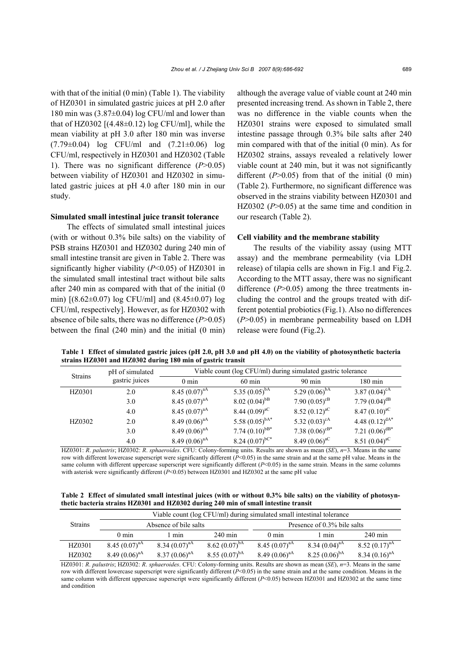with that of the initial (0 min) (Table 1). The viability of HZ0301 in simulated gastric juices at pH 2.0 after 180 min was (3.87±0.04) log CFU/ml and lower than that of HZ0302  $[(4.48\pm0.12) \log CFU/ml]$ , while the mean viability at pH 3.0 after 180 min was inverse (7.79±0.04) log CFU/ml and (7.21±0.06) log CFU/ml, respectively in HZ0301 and HZ0302 (Table 1). There was no significant difference (*P*>0.05) between viability of HZ0301 and HZ0302 in simulated gastric juices at pH 4.0 after 180 min in our study.

### **Simulated small intestinal juice transit tolerance**

The effects of simulated small intestinal juices (with or without 0.3% bile salts) on the viability of PSB strains HZ0301 and HZ0302 during 240 min of small intestine transit are given in Table 2. There was significantly higher viability (*P*<0.05) of HZ0301 in the simulated small intestinal tract without bile salts after 240 min as compared with that of the initial (0 min) [(8.62±0.07) log CFU/ml] and (8.45±0.07) log CFU/ml, respectively]. However, as for HZ0302 with absence of bile salts, there was no difference (*P*>0.05) between the final (240 min) and the initial (0 min)

although the average value of viable count at 240 min presented increasing trend. As shown in Table 2, there was no difference in the viable counts when the HZ0301 strains were exposed to simulated small intestine passage through 0.3% bile salts after 240 min compared with that of the initial (0 min). As for HZ0302 strains, assays revealed a relatively lower viable count at 240 min, but it was not significantly different  $(P>0.05)$  from that of the initial  $(0 \text{ min})$ (Table 2). Furthermore, no significant difference was observed in the strains viability between HZ0301 and HZ0302 (P>0.05) at the same time and condition in our research (Table 2).

#### **Cell viability and the membrane stability**

The results of the viability assay (using MTT assay) and the membrane permeability (via LDH release) of tilapia cells are shown in Fig.1 and Fig.2. According to the MTT assay, there was no significant difference (*P*>0.05) among the three treatments including the control and the groups treated with different potential probiotics (Fig.1). Also no differences (*P*>0.05) in membrane permeability based on LDH release were found (Fig.2).

**Table 1 Effect of simulated gastric juices (pH 2.0, pH 3.0 and pH 4.0) on the viability of photosynthetic bacteria strains HZ0301 and HZ0302 during 180 min of gastric transit** 

| <b>Strains</b> | pH of simulated<br>gastric juices | Viable count (log CFU/ml) during simulated gastric tolerance |                      |                     |                             |  |
|----------------|-----------------------------------|--------------------------------------------------------------|----------------------|---------------------|-----------------------------|--|
|                |                                   | $0 \text{ min}$                                              | $60 \text{ min}$     | $90 \text{ min}$    | $180 \text{ min}$           |  |
| HZ0301         | 2.0                               | 8.45 $(0.07)^{aA}$                                           | 5.35 $(0.05)^{bA}$   | 5.29 $(0.06)^{bA}$  | 3.87 $(0.04)^{cA}$          |  |
|                | 3.0                               | 8.45 $(0.07)^{aA}$                                           | $8.02 (0.04)^{b}$    | 7.90 $(0.05)^{cB}$  | 7.79 $(0.04)$ <sup>dB</sup> |  |
|                | 4.0                               | 8.45 $(0.07)^{aA}$                                           | 8.44 $(0.09)^{aC}$   | 8.52 $(0.12)^{aC}$  | 8.47 $(0.10)^{aC}$          |  |
| HZ0302         | 2.0                               | 8.49 $(0.06)^{aA}$                                           | 5.58 $(0.05)^{bA*}$  | 5.32 $(0.03)^{cA}$  | 4.48 $(0.12)^{dA*}$         |  |
|                | 3.0                               | 8.49 $(0.06)^{aA}$                                           | 7.74 $(0.10)^{bB*}$  | 7.38 $(0.06)^{cB*}$ | 7.21 $(0.06)^{dB*}$         |  |
|                | 4.0                               | 8.49 $(0.06)^{aA}$                                           | 8.24 $(0.07)^{bC^*}$ | 8.49 $(0.06)^{aC}$  | 8.51 $(0.04)^{aC}$          |  |

HZ0301: *R*. *palustris*; HZ0302: *R*. *sphaeroides*. CFU: Colony-forming units. Results are shown as mean (*SE*), *n*=3. Means in the same row with different lowercase superscript were significantly different (*P*<0.05) in the same strain and at the same pH value. Means in the same column with different uppercase superscript were significantly different (*P*<0.05) in the same strain. Means in the same columns with asterisk were significantly different ( $P<0.05$ ) between HZ0301 and HZ0302 at the same pH value

**Table 2 Effect of simulated small intestinal juices (with or without 0.3% bile salts) on the viability of photosynthetic bacteria strains HZ0301 and HZ0302 during 240 min of small intestine transit** 

| <b>Strains</b> | Viable count (log CFU/ml) during simulated small intestinal tolerance |                    |                    |                             |                    |                    |  |  |  |
|----------------|-----------------------------------------------------------------------|--------------------|--------------------|-----------------------------|--------------------|--------------------|--|--|--|
|                | Absence of bile salts                                                 |                    |                    | Presence of 0.3% bile salts |                    |                    |  |  |  |
|                | $0 \text{ min}$                                                       | l mın              | $240 \text{ min}$  | $0 \text{ min}$             | l min              | $240 \text{ min}$  |  |  |  |
| HZ0301         | $8.45(0.07)^{aA}$                                                     | $8.34 (0.07)^{aA}$ | 8.62 $(0.07)^{bA}$ | $8.45(0.07)^{aA}$           | 8.34 $(0.04)^{aA}$ | 8.52 $(0.17)^{aA}$ |  |  |  |
| HZ0302         | $8.49(0.06)^{aA}$                                                     | $8.37(0.06)^{aA}$  | 8.55 $(0.07)^{bA}$ | $8.49(0.06)^{aA}$           | 8.25 $(0.06)^{bA}$ | 8.34 $(0.16)^{aA}$ |  |  |  |

HZ0301: *R*. *palustris*; HZ0302: *R*. *sphaeroides*. CFU: Colony-forming units. Results are shown as mean (*SE*), *n*=3. Means in the same row with different lowercase superscript were significantly different ( $\overline{P}$ <0.05) in the same strain and at the same condition. Means in the same column with different uppercase superscript were significantly different (*P*<0.05) between HZ0301 and HZ0302 at the same time and condition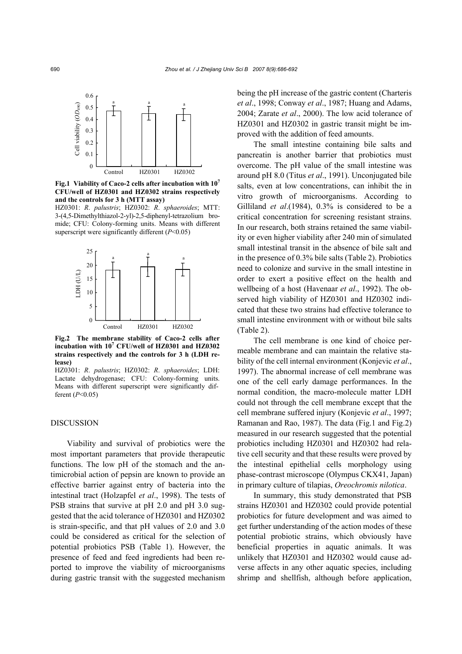

**Fig.1 Viability of Caco-2 cells after incubation with 107 CFU/well of HZ0301 and HZ0302 strains respectively and the controls for 3 h (MTT assay)** 

HZ0301: *R*. *palustris*; HZ0302: *R*. *sphaeroides*; MTT: 3-(4,5-Dimethylthiazol-2-yl)-2,5-diphenyl-tetrazolium bromide; CFU: Colony-forming units. Means with different superscript were significantly different (*P*<0.05)



**Fig.2 The membrane stability of Caco-2 cells after incubation with 107 CFU/well of HZ0301 and HZ0302 strains respectively and the controls for 3 h (LDH release)** 

HZ0301: *R*. *palustris*; HZ0302: *R*. *sphaeroides*; LDH: Lactate dehydrogenase; CFU: Colony-forming units. Means with different superscript were significantly different (*P*<0.05)

## **DISCUSSION**

Viability and survival of probiotics were the most important parameters that provide therapeutic functions. The low pH of the stomach and the antimicrobial action of pepsin are known to provide an effective barrier against entry of bacteria into the intestinal tract (Holzapfel *et al*., 1998). The tests of PSB strains that survive at pH 2.0 and pH 3.0 suggested that the acid tolerance of HZ0301 and HZ0302 is strain-specific, and that pH values of 2.0 and 3.0 could be considered as critical for the selection of potential probiotics PSB (Table 1). However, the presence of feed and feed ingredients had been reported to improve the viability of microorganisms during gastric transit with the suggested mechanism

being the pH increase of the gastric content (Charteris *et al*., 1998; Conway *et al*., 1987; Huang and Adams, 2004; Zarate *et al*., 2000). The low acid tolerance of HZ0301 and HZ0302 in gastric transit might be improved with the addition of feed amounts.

The small intestine containing bile salts and pancreatin is another barrier that probiotics must overcome. The pH value of the small intestine was around pH 8.0 (Titus *et al*., 1991). Unconjugated bile salts, even at low concentrations, can inhibit the in vitro growth of microorganisms. According to Gilliland *et al*.(1984), 0.3% is considered to be a critical concentration for screening resistant strains. In our research, both strains retained the same viability or even higher viability after 240 min of simulated small intestinal transit in the absence of bile salt and in the presence of 0.3% bile salts (Table 2). Probiotics need to colonize and survive in the small intestine in order to exert a positive effect on the health and wellbeing of a host (Havenaar *et al*., 1992). The observed high viability of HZ0301 and HZ0302 indicated that these two strains had effective tolerance to small intestine environment with or without bile salts (Table 2).

The cell membrane is one kind of choice permeable membrane and can maintain the relative stability of the cell internal environment (Konjevic *et al*., 1997). The abnormal increase of cell membrane was one of the cell early damage performances. In the normal condition, the macro-molecule matter LDH could not through the cell membrane except that the cell membrane suffered injury (Konjevic *et al*., 1997; Ramanan and Rao, 1987). The data (Fig.1 and Fig.2) measured in our research suggested that the potential probiotics including HZ0301 and HZ0302 had relative cell security and that these results were proved by the intestinal epithelial cells morphology using phase-contrast microscope (Olympus CKX41, Japan) in primary culture of tilapias, *Oreochromis nilotica*.

In summary, this study demonstrated that PSB strains HZ0301 and HZ0302 could provide potential probiotics for future development and was aimed to get further understanding of the action modes of these potential probiotic strains, which obviously have beneficial properties in aquatic animals. It was unlikely that HZ0301 and HZ0302 would cause adverse affects in any other aquatic species, including shrimp and shellfish, although before application,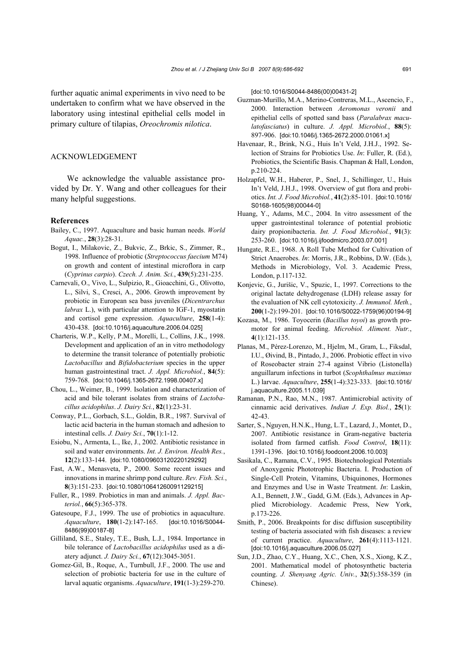further aquatic animal experiments in vivo need to be undertaken to confirm what we have observed in the laboratory using intestinal epithelial cells model in primary culture of tilapias, *Oreochromis nilotica*.

# ACKNOWLEDGEMENT

We acknowledge the valuable assistance provided by Dr. Y. Wang and other colleagues for their many helpful suggestions.

#### **References**

- Bailey, C., 1997. Aquaculture and basic human needs. *World Aquac.*, **28**(3):28-31.
- Bogut, I., Milakovic, Z., Bukvic, Z., Brkic, S., Zimmer, R., 1998. Influence of probiotic (*Streptococcus faecium* M74) on growth and content of intestinal microflora in carp (*Cyprinus carpio*). *Czech. J. Anim. Sci.*, **439**(5):231-235.
- Carnevali, O., Vivo, L., Sulpizio, R., Gioacchini, G., Olivotto, L., Silvi, S., Cresci, A., 2006. Growth improvement by probiotic in European sea bass juveniles (*Dicentrarchus labrax* L.), with particular attention to IGF-1, myostatin and cortisol gene expression. *Aquaculture*, **258**(1-4): 430-438. [doi:10.1016/j.aquaculture.2006.04.025]
- Charteris, W.P., Kelly, P.M., Morelli, L., Collins, J.K., 1998. Development and application of an in vitro methodology to determine the transit tolerance of potentially probiotic *Lactobacillus* and *Bifidobacterium* species in the upper human gastrointestinal tract. *J. Appl. Microbiol.*, **84**(5): 759-768. [doi:10.1046/j.1365-2672.1998.00407.x]
- Chou, L., Weimer, B., 1999. Isolation and characterization of acid and bile tolerant isolates from strains of *Lactobacillus acidophilus*. *J. Dairy Sci.*, **82**(1):23-31.
- Conway, P.L., Gorbach, S.L., Goldin, B.R., 1987. Survival of lactic acid bacteria in the human stomach and adhesion to intestinal cells. *J. Dairy Sci.*, **70**(1):1-12.
- Esiobu, N., Armenta, L., Ike, J., 2002. Antibiotic resistance in soil and water environments. *Int. J. Environ. Health Res.*, **12**(2):133-144. [doi:10.1080/09603120220129292]
- Fast, A.W., Menasveta, P., 2000. Some recent issues and innovations in marine shrimp pond culture. *Rev. Fish. Sci.*, **8**(3):151-233. [doi:10.1080/10641260091129215]
- Fuller, R., 1989. Probiotics in man and animals. *J. Appl. Bacteriol.*, **66**(5):365-378.
- Gatesoupe, F.J., 1999. The use of probiotics in aquaculture. *Aquaculture*, **180**(1-2):147-165. [doi:10.1016/S0044- 8486(99)00187-8]
- Gilliland, S.E., Staley, T.E., Bush, L.J., 1984. Importance in bile tolerance of *Lactobacillus acidophilus* used as a diatery adjunct. *J. Dairy Sci.*, **67**(12):3045-3051.
- Gomez-Gil, B., Roque, A., Turnbull, J.F., 2000. The use and selection of probiotic bacteria for use in the culture of larval aquatic organisms. *Aquaculture*, **191**(1-3):259-270.

[doi:10.1016/S0044-8486(00)00431-2]

- Guzman-Murillo, M.A., Merino-Contreras, M.L., Ascencio, F., 2000. Interaction between *Aeromonas veronii* and epithelial cells of spotted sand bass (*Paralabrax maculatofasciatus*) in culture. *J. Appl. Microbiol.*, **88**(5): 897-906. [doi:10.1046/j.1365-2672.2000.01061.x]
- Havenaar, R., Brink, N.G., Huis In't Veld, J.H.J., 1992. Selection of Strains for Probiotics Use. *In*: Fuller, R. (Ed.), Probiotics, the Scientific Basis. Chapman & Hall, London, p.210-224.
- Holzapfel, W.H., Haberer, P., Snel, J., Schillinger, U., Huis In't Veld, J.H.J., 1998. Overview of gut flora and probiotics. *Int. J. Food Microbiol.*, **41**(2):85-101. [doi:10.1016/ S0168-1605(98)00044-0]
- Huang, Y., Adams, M.C., 2004. In vitro assessment of the upper gastrointestinal tolerance of potential probiotic dairy propionibacteria. *Int. J. Food Microbiol.*, **91**(3): 253-260. [doi:10.1016/j.ijfoodmicro.2003.07.001]
- Hungate, R.E., 1968. A Roll Tube Method for Cultivation of Strict Anaerobes. *In*: Morris, J.R., Robbins, D.W. (Eds.), Methods in Microbiology, Vol. 3. Academic Press, London, p.117-132.
- Konjevic, G., Jurišic, V., Spuzic, I., 1997. Corrections to the original lactate dehydrogenase (LDH) release assay for the evaluation of NK cell cytotoxicity. *J. Immunol. Meth.*, **200**(1-2):199-201. [doi:10.1016/S0022-1759(96)00194-9]
- Kozasa, M., 1986. Toyocerin (*Bacillus toyoi*) as growth promotor for animal feeding. *Microbiol. Aliment. Nutr.*, **4**(1):121-135.
- Planas, M., Pérez-Lorenzo, M., Hjelm, M., Gram, L., Fiksdal, I.U., Øivind, B., Pintado, J., 2006. Probiotic effect in vivo of Roseobacter strain 27-4 against Vibrio (Listonella) anguillarum infections in turbot (*Scophthalmus maximus* L.) larvae. *Aquaculture*, **255**(1-4):323-333. [doi:10.1016/ j.aquaculture.2005.11.039]
- Ramanan, P.N., Rao, M.N., 1987. Antimicrobial activity of cinnamic acid derivatives. *Indian J. Exp. Biol.*, **25**(1): 42-43.
- Sarter, S., Nguyen, H.N.K., Hung, L.T., Lazard, J., Montet, D., 2007. Antibiotic resistance in Gram-negative bacteria isolated from farmed catfish. *Food Control*, **18**(11): 1391-1396. [doi:10.1016/j.foodcont.2006.10.003]
- Sasikala, C., Ramana, C.V., 1995. Biotechnological Potentials of Anoxygenic Phototrophic Bacteria. I. Production of Single-Cell Protein, Vitamins, Ubiquinones, Hormones and Enzymes and Use in Waste Treatment. *In*: Laskin, A.I., Bennett, J.W., Gadd, G.M. (Eds.), Advances in Applied Microbiology. Academic Press, New York, p.173-226.
- Smith, P., 2006. Breakpoints for disc diffusion susceptibility testing of bacteria associated with fish diseases: a review of current practice. *Aquaculture*, **261**(4):1113-1121. [doi:10.1016/j.aquaculture.2006.05.027]
- Sun, J.D., Zhao, C.Y., Huang, X.C., Chen, X.S., Xiong, K.Z., 2001. Mathematical model of photosynthetic bacteria counting. *J. Shenyang Agric. Univ.*, **32**(5):358-359 (in Chinese).